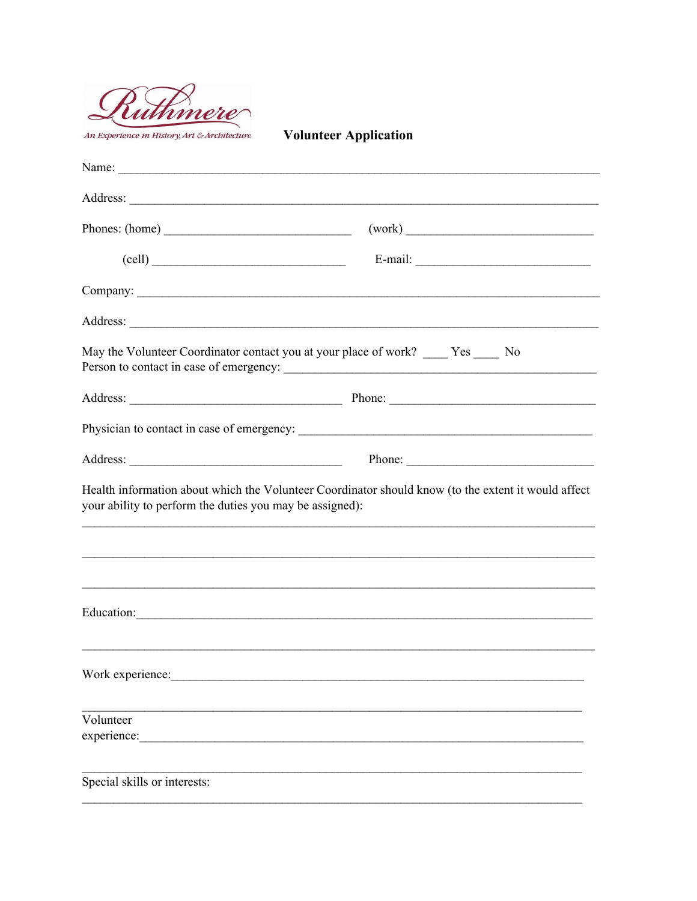

**Volunteer Application** 

| Phones: (home)                                           | (work)                                                                                              |
|----------------------------------------------------------|-----------------------------------------------------------------------------------------------------|
| $\left(\text{cell}\right)$                               | $E-mail:$                                                                                           |
|                                                          |                                                                                                     |
|                                                          |                                                                                                     |
|                                                          | May the Volunteer Coordinator contact you at your place of work? ____ Yes ____ No                   |
|                                                          |                                                                                                     |
|                                                          |                                                                                                     |
|                                                          | Phone:                                                                                              |
| your ability to perform the duties you may be assigned): | Health information about which the Volunteer Coordinator should know (to the extent it would affect |
|                                                          |                                                                                                     |
|                                                          | Education:                                                                                          |
| Work experience:                                         |                                                                                                     |
| Volunteer<br>experience:                                 |                                                                                                     |
| Special skills or interests:                             |                                                                                                     |